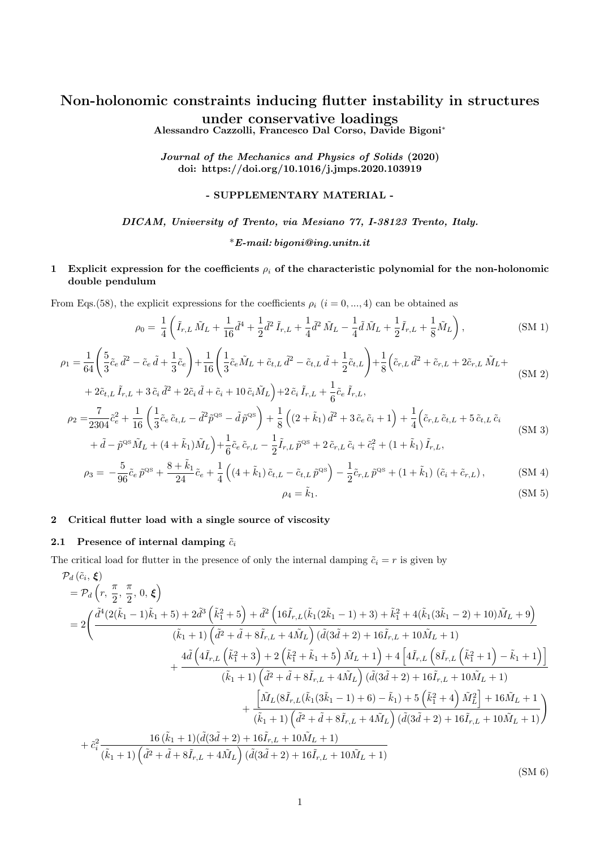# Non-holonomic constraints inducing flutter instability in structures under conservative loadings Alessandro Cazzolli, Francesco Dal Corso, Davide Bigoni<sup>∗</sup>

Journal of the Mechanics and Physics of Solids (2020) doi: https://doi.org/10.1016/j.jmps.2020.103919

- SUPPLEMENTARY MATERIAL -

DICAM, University of Trento, via Mesiano 77, I-38123 Trento, Italy.

## \*E-mail: bigoni@ing.unitn.it

# 1 Explicit expression for the coefficients  $\rho_i$  of the characteristic polynomial for the non-holonomic double pendulum

From Eqs.(58), the explicit expressions for the coefficients  $\rho_i$  ( $i = 0, ..., 4$ ) can be obtained as

$$
\rho_0 = \frac{1}{4} \left( \tilde{I}_{r,L} \tilde{M}_L + \frac{1}{16} \tilde{d}^4 + \frac{1}{2} \tilde{d}^2 \tilde{I}_{r,L} + \frac{1}{4} \tilde{d}^2 \tilde{M}_L - \frac{1}{4} \tilde{d} \tilde{M}_L + \frac{1}{2} \tilde{I}_{r,L} + \frac{1}{8} \tilde{M}_L \right),
$$
 (SM 1)

$$
\rho_{1} = \frac{1}{64} \left( \frac{5}{3} \tilde{c}_{e} \tilde{d}^{2} - \tilde{c}_{e} \tilde{d} + \frac{1}{3} \tilde{c}_{e} \right) + \frac{1}{16} \left( \frac{1}{3} \tilde{c}_{e} \tilde{M}_{L} + \tilde{c}_{t,L} \tilde{d}^{2} - \tilde{c}_{t,L} \tilde{d} + \frac{1}{2} \tilde{c}_{t,L} \right) + \frac{1}{8} \left( \tilde{c}_{r,L} \tilde{d}^{2} + \tilde{c}_{r,L} + 2 \tilde{c}_{r,L} \tilde{M}_{L} + 2 \tilde{c}_{t,L} \tilde{I}_{r,L} + 3 \tilde{c}_{i} \tilde{d}^{2} + 2 \tilde{c}_{i} \tilde{d} + \tilde{c}_{i} + 10 \tilde{c}_{i} \tilde{M}_{L} \right) + 2 \tilde{c}_{i} \tilde{I}_{r,L} + \frac{1}{6} \tilde{c}_{e} \tilde{I}_{r,L},
$$
\n
$$
\rho_{2} = \frac{7}{2304} \tilde{c}_{e}^{2} + \frac{1}{16} \left( \frac{1}{3} \tilde{c}_{e} \tilde{c}_{t,L} - \tilde{d}^{2} \tilde{p}^{\text{QS}} - \tilde{d} \tilde{p}^{\text{QS}} \right) + \frac{1}{8} \left( (2 + \tilde{k}_{1}) \tilde{d}^{2} + 3 \tilde{c}_{e} \tilde{c}_{i} + 1 \right) + \frac{1}{4} \left( \tilde{c}_{r,L} \tilde{c}_{t,L} + 5 \tilde{c}_{t,L} \tilde{c}_{i} \right)
$$
\n(SM 3)

$$
+\tilde{d} - \tilde{p}^{QS}\tilde{M}_L + (4 + \tilde{k}_1)\tilde{M}_L\Big) + \frac{1}{6}\tilde{c}_e\,\tilde{c}_{r,L} - \frac{1}{2}\tilde{I}_{r,L}\,\tilde{p}^{QS} + 2\,\tilde{c}_{r,L}\,\tilde{c}_i + \tilde{c}_i^2 + (1 + \tilde{k}_1)\,\tilde{I}_{r,L},
$$
\n(5.11)

$$
\rho_3 = -\frac{5}{96}\tilde{c}_e \,\tilde{p}^{QS} + \frac{8+\tilde{k}_1}{24}\tilde{c}_e + \frac{1}{4}\left((4+\tilde{k}_1)\,\tilde{c}_{t,L} - \tilde{c}_{t,L}\,\tilde{p}^{QS}\right) - \frac{1}{2}\tilde{c}_{r,L}\,\tilde{p}^{QS} + (1+\tilde{k}_1)\,\left(\tilde{c}_i + \tilde{c}_{r,L}\right),\tag{SM 4}
$$

$$
\rho_4 = \tilde{k}_1. \tag{SM 5}
$$

# 2 Critical flutter load with a single source of viscosity

#### 2.1 Presence of internal damping  $\tilde{c}_i$

The critical load for flutter in the presence of only the internal damping  $\tilde{c}_i = r$  is given by

$$
\mathcal{P}_{d}(\tilde{c}_{i}, \xi)
$$
\n
$$
= \mathcal{P}_{d}\left(r, \frac{\pi}{2}, \frac{\pi}{2}, 0, \xi\right)
$$
\n
$$
= 2\left(\frac{\tilde{d}^{4}\left(2(\tilde{k}_{1}-1)\tilde{k}_{1}+5\right)+2\tilde{d}^{3}\left(\tilde{k}_{1}^{2}+5\right)+\tilde{d}^{2}\left(16\tilde{I}_{r,L}(\tilde{k}_{1}(2\tilde{k}_{1}-1)+3)+\tilde{k}_{1}^{2}+4(\tilde{k}_{1}(3\tilde{k}_{1}-2)+10)\tilde{M}_{L}+9\right)}{(\tilde{k}_{1}+1)\left(\tilde{d}^{2}+\tilde{d}+8\tilde{I}_{r,L}+4\tilde{M}_{L}\right)\left(\tilde{d}(3\tilde{d}+2)+16\tilde{I}_{r,L}+10\tilde{M}_{L}+1\right)} + \frac{4\tilde{d}\left(4\tilde{I}_{r,L}\left(\tilde{k}_{1}^{2}+3\right)+2\left(\tilde{k}_{1}^{2}+\tilde{k}_{1}+5\right)\tilde{M}_{L}+1\right)+4\left[4\tilde{I}_{r,L}\left(8\tilde{I}_{r,L}\left(\tilde{k}_{1}^{2}+1\right)-\tilde{k}_{1}+1\right)\right]}{(\tilde{k}_{1}+1)\left(\tilde{d}^{2}+\tilde{d}+8\tilde{I}_{r,L}+4\tilde{M}_{L}\right)\left(\tilde{d}(3\tilde{d}+2)+16\tilde{I}_{r,L}+10\tilde{M}_{L}+1\right)} + \frac{\left[\tilde{M}_{L}(\tilde{s}\tilde{I}_{r,L}(\tilde{k}_{1}(3\tilde{k}_{1}-1)+6)-\tilde{k}_{1})+5\left(\tilde{k}_{1}^{2}+4\right)\tilde{M}_{L}^{2}\right]+16\tilde{M}_{L}+1}{(\tilde{k}_{1}+1)\left(\tilde{d}^{2}+\tilde{d}+8\tilde{I}_{r,L}+10\tilde{M}_{L}+1\right)} + \frac{\left[\tilde{M}_{L}(\tilde{s}\tilde{I}_{r,L}(\tilde{k}_{1}(3\tilde{k}_{1}-1)+6)-\tilde{k}_{1})+5\left(\tilde{k}_{1}^{2}+4\right
$$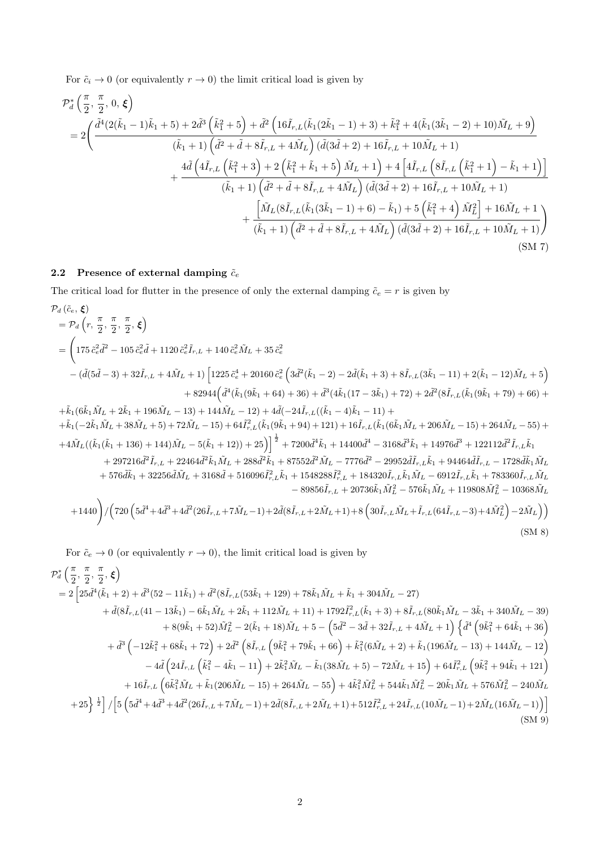For  $\tilde{c}_i \to 0$  (or equivalently  $r \to 0$ ) the limit critical load is given by

$$
\mathcal{P}_{d}^{*}\left(\frac{\pi}{2},\frac{\pi}{2},0,\xi\right)
$$
\n
$$
=2\left(\frac{\tilde{d}^{4}(2(\tilde{k}_{1}-1)\tilde{k}_{1}+5)+2\tilde{d}^{3}\left(\tilde{k}_{1}^{2}+5\right)+\tilde{d}^{2}\left(16\tilde{I}_{r,L}(\tilde{k}_{1}(2\tilde{k}_{1}-1)+3)+\tilde{k}_{1}^{2}+4(\tilde{k}_{1}(3\tilde{k}_{1}-2)+10)\tilde{M}_{L}+9\right)}{(\tilde{k}_{1}+1)\left(\tilde{d}^{2}+\tilde{d}+8\tilde{I}_{r,L}+4\tilde{M}_{L}\right)\left(\tilde{d}(3\tilde{d}+2)+16\tilde{I}_{r,L}+10\tilde{M}_{L}+1\right)}+\frac{4\tilde{d}\left(4\tilde{I}_{r,L}\left(\tilde{k}_{1}^{2}+3\right)+2\left(\tilde{k}_{1}^{2}+\tilde{k}_{1}+5\right)\tilde{M}_{L}+1\right)+4\left[4\tilde{I}_{r,L}\left(8\tilde{I}_{r,L}\left(\tilde{k}_{1}^{2}+1\right)-\tilde{k}_{1}+1\right)\right]}{(\tilde{k}_{1}+1)\left(\tilde{d}^{2}+\tilde{d}+8\tilde{I}_{r,L}+4\tilde{M}_{L}\right)\left(\tilde{d}(3\tilde{d}+2)+16\tilde{I}_{r,L}+10\tilde{M}_{L}+1\right)}+\frac{\left[\tilde{M}_{L}(8\tilde{I}_{r,L}(\tilde{k}_{1}(3\tilde{k}_{1}-1)+6)-\tilde{k}_{1})+5\left(\tilde{k}_{1}^{2}+4\right)\tilde{M}_{L}^{2}\right]+16\tilde{M}_{L}+1}{(\tilde{k}_{1}+1)\left(\tilde{d}^{2}+\tilde{d}+8\tilde{I}_{r,L}+4\tilde{M}_{L}\right)\left(\tilde{d}(3\tilde{d}+2)+16\tilde{I}_{r,L}+10\tilde{M}_{L}+1\right)}\right)
$$
\n(SM 7)

# 2.2 Presence of external damping  $\tilde{c}_e$

The critical load for flutter in the presence of only the external damping  $\tilde{c}_e = r$  is given by

$$
\begin{split} \mathcal{P}_d\left(\tilde{c}_e,\,\xi\right) \\ &=\mathcal{P}_d\left(r,\,\frac{\pi}{2},\,\frac{\pi}{2},\,\frac{\pi}{2},\,\xi\right) \\ &=\Bigg(175\,\tilde{c}_e^2\tilde{d}^2-105\,\tilde{c}_e^2\tilde{d}+1120\,\tilde{c}_e^2\tilde{I}_{r,L}+140\,\tilde{c}_e^2\tilde{M}_L+35\,\tilde{c}_e^2 \\ &-\big(\tilde{d}(5\tilde{d}-3)+32\tilde{I}_{r,L}+4\tilde{M}_L+1\big)\left[1225\,\tilde{c}_e^4+20160\,\tilde{c}_e^2\left(3\tilde{d}^2(\tilde{k}_1-2)-2\tilde{d}(\tilde{k}_1+3)+8\tilde{I}_{r,L}(3\tilde{k}_1-11)+2(\tilde{k}_1-12)\tilde{M}_L+5\right) \\ &+82944\bigg(\tilde{d}^4(\tilde{k}_1(9\tilde{k}_1+64)+36)+\tilde{d}^3(4\tilde{k}_1(17-3\tilde{k}_1)+72)+2\tilde{d}^2(8\tilde{I}_{r,L}(\tilde{k}_1(9\tilde{k}_1+79)+66)+\\ &+\tilde{k}_1(6\tilde{k}_1\tilde{M}_L+2\tilde{k}_1+196\tilde{M}_L-13)+144\tilde{M}_L-12)+4\tilde{d}(-24\tilde{I}_{r,L}((\tilde{k}_1-4)\tilde{k}_1-11)+\\ &+\tilde{k}_1(-2\tilde{k}_1\tilde{M}_L+38\tilde{M}_L+5)+72\tilde{M}_L-15)+64\tilde{I}_{r,L}^2(\tilde{k}_1(9\tilde{k}_1+94)+121)+16\tilde{I}_{r,L}(\tilde{k}_1(6\tilde{k}_1\tilde{M}_L+206\tilde{M}_L-15)+264\tilde{M}_L-55)+\\ &+4\tilde{M}_L((\tilde{k}_1(\tilde{k}_1+136)+144)\tilde{M}_L-5(\tilde{k}_1+12)))+25\Bigg]\Bigg]^{\frac{1}{2}}+7200\til
$$

(SM 8)

For 
$$
\tilde{c}_e \to 0
$$
 (or equivalently  $r \to 0$ ), the limit critical load is given by

$$
\mathcal{P}_{d}^{*}\left(\frac{\pi}{2},\frac{\pi}{2},\frac{\pi}{2},\xi\right) \n= 2\left[25\tilde{d}^{4}(\tilde{k}_{1}+2)+\tilde{d}^{3}(52-11\tilde{k}_{1})+\tilde{d}^{2}(8\tilde{I}_{r,L}(53\tilde{k}_{1}+129)+78\tilde{k}_{1}\tilde{M}_{L}+\tilde{k}_{1}+304\tilde{M}_{L}-27)\n+ \tilde{d}(8\tilde{I}_{r,L}(41-13\tilde{k}_{1})-6\tilde{k}_{1}\tilde{M}_{L}+2\tilde{k}_{1}+112\tilde{M}_{L}+11)+1792\tilde{I}_{r,L}^{2}(\tilde{k}_{1}+3)+8\tilde{I}_{r,L}(80\tilde{k}_{1}\tilde{M}_{L}-3\tilde{k}_{1}+340\tilde{M}_{L}-39)\n+8(9\tilde{k}_{1}+52)\tilde{M}_{L}^{2}-2(\tilde{k}_{1}+18)\tilde{M}_{L}+5-\left(5\tilde{d}^{2}-3\tilde{d}+32\tilde{I}_{r,L}+4\tilde{M}_{L}+1\right)\left\{\tilde{d}^{4}\left(9\tilde{k}_{1}^{2}+64\tilde{k}_{1}+36\right)\n+ \tilde{d}^{3}\left(-12\tilde{k}_{1}^{2}+68\tilde{k}_{1}+72\right)+2\tilde{d}^{2}\left(8\tilde{I}_{r,L}\left(9\tilde{k}_{1}^{2}+79\tilde{k}_{1}+66\right)+\tilde{k}_{1}^{2}(6\tilde{M}_{L}+2)+\tilde{k}_{1}(196\tilde{M}_{L}-13)+144\tilde{M}_{L}-12\right)\n-4\tilde{d}\left(24\tilde{I}_{r,L}\left(\tilde{k}_{1}^{2}-4\tilde{k}_{1}-11\right)+2\tilde{k}_{1}^{2}\tilde{M}_{L}-\tilde{k}_{1}(38\tilde{M}_{L}+5)-72\tilde{M}_{L}+15\right)+64\tilde{I}_{r,L}^{2}\left(9\tilde{k}_{1}^{2}+94\tilde{k}_{1}+121\right)\n+16\tilde{I}_{r,L}\left(6\tilde{k}_{1}^{
$$